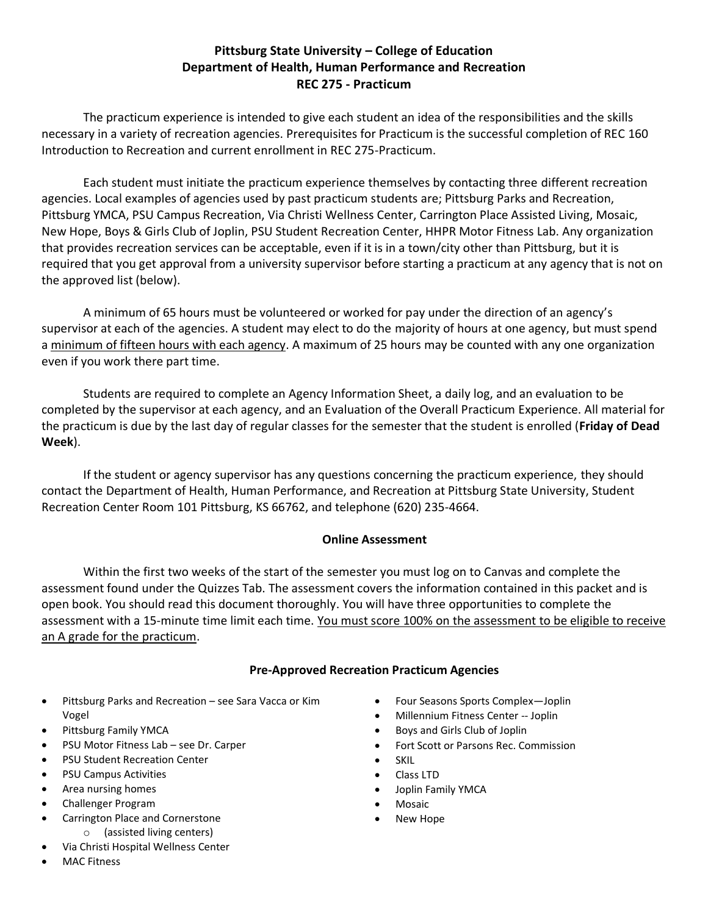#### **Pittsburg State University – College of Education Department of Health, Human Performance and Recreation REC 275 - Practicum**

The practicum experience is intended to give each student an idea of the responsibilities and the skills necessary in a variety of recreation agencies. Prerequisites for Practicum is the successful completion of REC 160 Introduction to Recreation and current enrollment in REC 275-Practicum.

Each student must initiate the practicum experience themselves by contacting three different recreation agencies. Local examples of agencies used by past practicum students are; Pittsburg Parks and Recreation, Pittsburg YMCA, PSU Campus Recreation, Via Christi Wellness Center, Carrington Place Assisted Living, Mosaic, New Hope, Boys & Girls Club of Joplin, PSU Student Recreation Center, HHPR Motor Fitness Lab. Any organization that provides recreation services can be acceptable, even if it is in a town/city other than Pittsburg, but it is required that you get approval from a university supervisor before starting a practicum at any agency that is not on the approved list (below).

A minimum of 65 hours must be volunteered or worked for pay under the direction of an agency's supervisor at each of the agencies. A student may elect to do the majority of hours at one agency, but must spend a minimum of fifteen hours with each agency. A maximum of 25 hours may be counted with any one organization even if you work there part time.

Students are required to complete an Agency Information Sheet, a daily log, and an evaluation to be completed by the supervisor at each agency, and an Evaluation of the Overall Practicum Experience. All material for the practicum is due by the last day of regular classes for the semester that the student is enrolled (**Friday of Dead Week**).

If the student or agency supervisor has any questions concerning the practicum experience, they should contact the Department of Health, Human Performance, and Recreation at Pittsburg State University, Student Recreation Center Room 101 Pittsburg, KS 66762, and telephone (620) 235-4664.

#### **Online Assessment**

Within the first two weeks of the start of the semester you must log on to Canvas and complete the assessment found under the Quizzes Tab. The assessment covers the information contained in this packet and is open book. You should read this document thoroughly. You will have three opportunities to complete the assessment with a 15-minute time limit each time. You must score 100% on the assessment to be eligible to receive an A grade for the practicum.

#### **Pre-Approved Recreation Practicum Agencies**

- Pittsburg Parks and Recreation see Sara Vacca or Kim Vogel
- Pittsburg Family YMCA
- PSU Motor Fitness Lab see Dr. Carper
- PSU Student Recreation Center
- PSU Campus Activities
- Area nursing homes
- Challenger Program
	- Carrington Place and Cornerstone o (assisted living centers)
- Via Christi Hospital Wellness Center
- Four Seasons Sports Complex—Joplin
- Millennium Fitness Center -- Joplin
- Boys and Girls Club of Joplin
- Fort Scott or Parsons Rec. Commission
- SKIL
	- Class LTD
- Joplin Family YMCA
- Mosaic
- New Hope

• MAC Fitness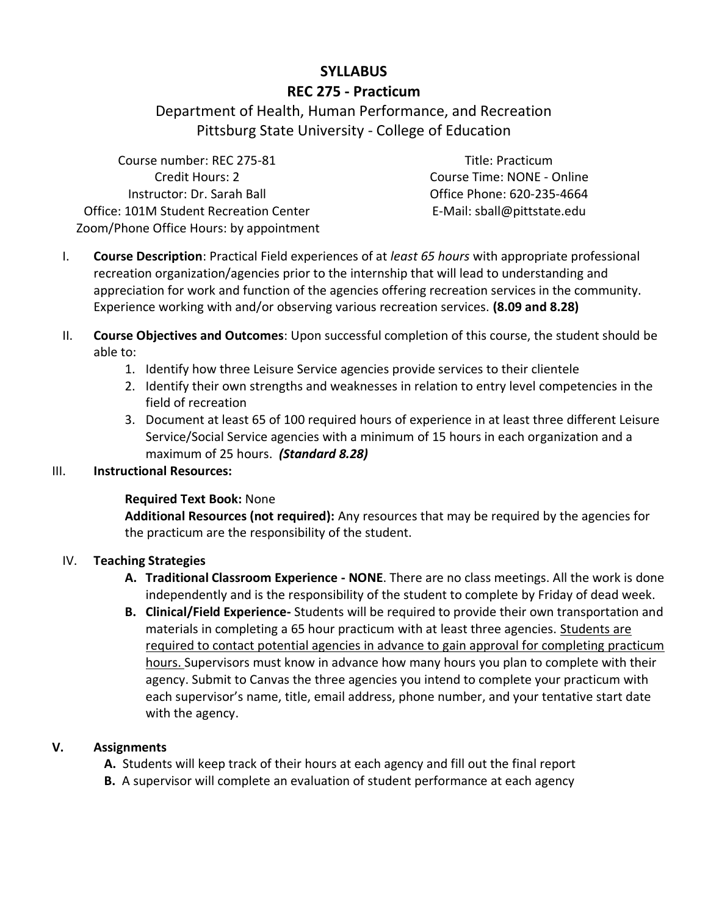### **SYLLABUS**

#### **REC 275 - Practicum**

Department of Health, Human Performance, and Recreation Pittsburg State University - College of Education

Course number: REC 275-81 Title: Practicum Credit Hours: 2 Course Time: NONE - Online Instructor: Dr. Sarah Ball Office: 101M Student Recreation Center Zoom/Phone Office Hours: by appointment

Office Phone: 620-235-4664 E-Mail: sball@pittstate.edu

- I. **Course Description**: Practical Field experiences of at *least 65 hours* with appropriate professional recreation organization/agencies prior to the internship that will lead to understanding and appreciation for work and function of the agencies offering recreation services in the community. Experience working with and/or observing various recreation services. **(8.09 and 8.28)**
- II. **Course Objectives and Outcomes**: Upon successful completion of this course, the student should be able to:
	- 1. Identify how three Leisure Service agencies provide services to their clientele
	- 2. Identify their own strengths and weaknesses in relation to entry level competencies in the field of recreation
	- 3. Document at least 65 of 100 required hours of experience in at least three different Leisure Service/Social Service agencies with a minimum of 15 hours in each organization and a maximum of 25 hours. *(Standard 8.28)*

#### III. **Instructional Resources:**

#### **Required Text Book:** None

**Additional Resources (not required):** Any resources that may be required by the agencies for the practicum are the responsibility of the student.

#### IV. **Teaching Strategies**

- **A. Traditional Classroom Experience - NONE**. There are no class meetings. All the work is done independently and is the responsibility of the student to complete by Friday of dead week.
- **B. Clinical/Field Experience-** Students will be required to provide their own transportation and materials in completing a 65 hour practicum with at least three agencies. Students are required to contact potential agencies in advance to gain approval for completing practicum hours. Supervisors must know in advance how many hours you plan to complete with their agency. Submit to Canvas the three agencies you intend to complete your practicum with each supervisor's name, title, email address, phone number, and your tentative start date with the agency.

#### **V. Assignments**

**A.** Students will keep track of their hours at each agency and fill out the final report

**B.** A supervisor will complete an evaluation of student performance at each agency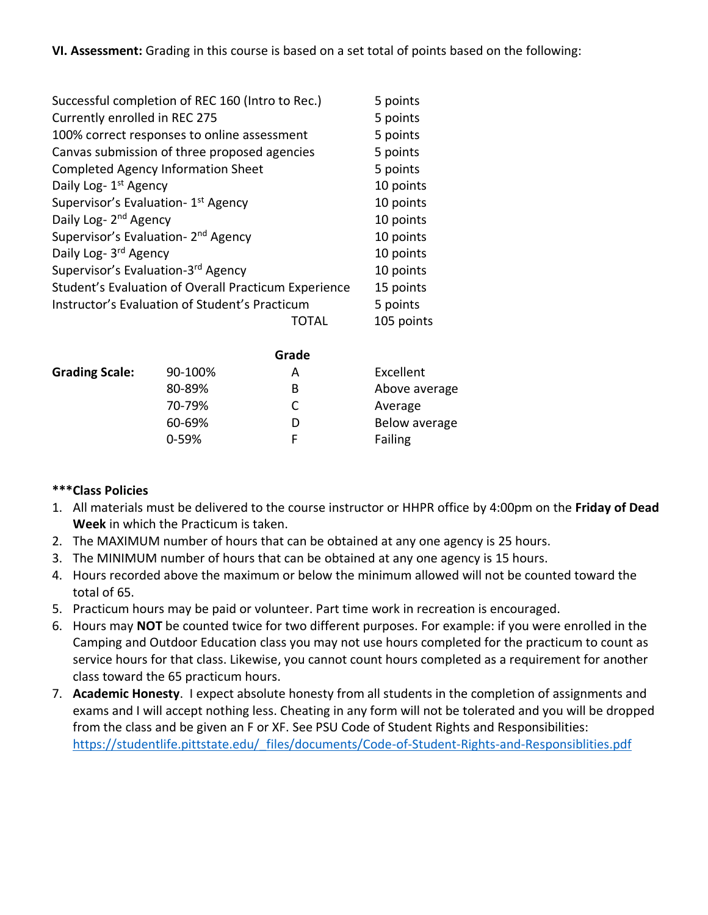**VI. Assessment:** Grading in this course is based on a set total of points based on the following:

| Successful completion of REC 160 (Intro to Rec.)     |       | 5 points   |
|------------------------------------------------------|-------|------------|
| Currently enrolled in REC 275                        |       | 5 points   |
| 100% correct responses to online assessment          |       | 5 points   |
| Canvas submission of three proposed agencies         |       | 5 points   |
| Completed Agency Information Sheet                   |       | 5 points   |
| Daily Log- 1 <sup>st</sup> Agency                    |       | 10 points  |
| Supervisor's Evaluation- 1 <sup>st</sup> Agency      |       | 10 points  |
| Daily Log- 2 <sup>nd</sup> Agency                    |       | 10 points  |
| Supervisor's Evaluation- 2 <sup>nd</sup> Agency      |       | 10 points  |
| Daily Log- 3rd Agency                                |       | 10 points  |
| Supervisor's Evaluation-3rd Agency                   |       | 10 points  |
| Student's Evaluation of Overall Practicum Experience |       | 15 points  |
| Instructor's Evaluation of Student's Practicum       |       | 5 points   |
|                                                      | TOTAL | 105 points |
|                                                      |       |            |

|                       |           | Grade |               |
|-----------------------|-----------|-------|---------------|
| <b>Grading Scale:</b> | 90-100%   | А     | Excellent     |
|                       | 80-89%    | B     | Above average |
|                       | 70-79%    | C     | Average       |
|                       | 60-69%    | D     | Below average |
|                       | $0 - 59%$ | F     | Failing       |

#### **\*\*\*Class Policies**

- 1. All materials must be delivered to the course instructor or HHPR office by 4:00pm on the **Friday of Dead Week** in which the Practicum is taken.
- 2. The MAXIMUM number of hours that can be obtained at any one agency is 25 hours.
- 3. The MINIMUM number of hours that can be obtained at any one agency is 15 hours.
- 4. Hours recorded above the maximum or below the minimum allowed will not be counted toward the total of 65.
- 5. Practicum hours may be paid or volunteer. Part time work in recreation is encouraged.
- 6. Hours may **NOT** be counted twice for two different purposes. For example: if you were enrolled in the Camping and Outdoor Education class you may not use hours completed for the practicum to count as service hours for that class. Likewise, you cannot count hours completed as a requirement for another class toward the 65 practicum hours.
- 7. **Academic Honesty**. I expect absolute honesty from all students in the completion of assignments and exams and I will accept nothing less. Cheating in any form will not be tolerated and you will be dropped from the class and be given an F or XF. See PSU Code of Student Rights and Responsibilities: [https://studentlife.pittstate.edu/\\_files/documents/Code-of-Student-Rights-and-Responsiblities.pdf](https://studentlife.pittstate.edu/_files/documents/Code-of-Student-Rights-and-Responsiblities.pdf)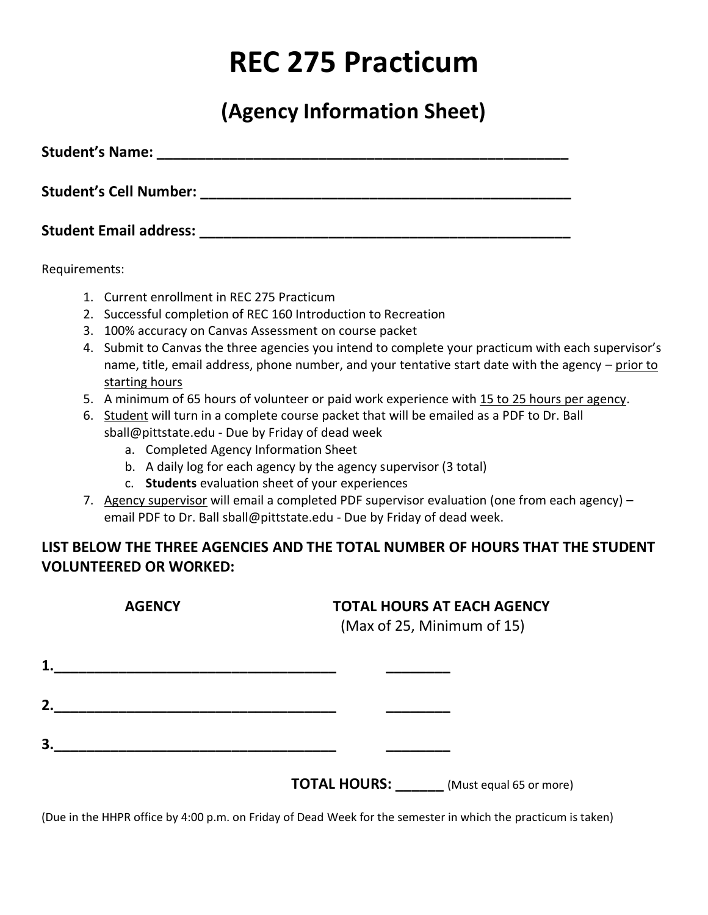# **REC 275 Practicum**

**(Agency Information Sheet)**

Student's Name: **We are all that the student's Name:**  $\mathbf{C} = \mathbf{C} \cdot \mathbf{C}$ **Student's Cell Number: \_\_\_\_\_\_\_\_\_\_\_\_\_\_\_\_\_\_\_\_\_\_\_\_\_\_\_\_\_\_\_\_\_\_\_\_\_\_\_\_\_\_\_\_\_\_**

**Student Email address: \_\_\_\_\_\_\_\_\_\_\_\_\_\_\_\_\_\_\_\_\_\_\_\_\_\_\_\_\_\_\_\_\_\_\_\_\_\_\_\_\_\_\_\_\_\_**

Requirements:

- 1. Current enrollment in REC 275 Practicum
- 2. Successful completion of REC 160 Introduction to Recreation
- 3. 100% accuracy on Canvas Assessment on course packet
- 4. Submit to Canvas the three agencies you intend to complete your practicum with each supervisor's name, title, email address, phone number, and your tentative start date with the agency – prior to starting hours
- 5. A minimum of 65 hours of volunteer or paid work experience with 15 to 25 hours per agency.
- 6. Student will turn in a complete course packet that will be emailed as a PDF to Dr. Ball sball@pittstate.edu - Due by Friday of dead week
	- a. Completed Agency Information Sheet
	- b. A daily log for each agency by the agency supervisor (3 total)
	- c. **Students** evaluation sheet of your experiences
- 7. Agency supervisor will email a completed PDF supervisor evaluation (one from each agency) email PDF to Dr. Ball sball@pittstate.edu - Due by Friday of dead week.

### **LIST BELOW THE THREE AGENCIES AND THE TOTAL NUMBER OF HOURS THAT THE STUDENT VOLUNTEERED OR WORKED:**

| <b>AGENCY</b> |  | <b>TOTAL HOURS AT EACH AGENCY</b><br>(Max of 25, Minimum of 15) |
|---------------|--|-----------------------------------------------------------------|
| 1.            |  |                                                                 |
| 2.            |  |                                                                 |
| 3.            |  |                                                                 |
|               |  | <b>TOTAL HOURS:</b><br>(Must equal 65 or more)                  |

(Due in the HHPR office by 4:00 p.m. on Friday of Dead Week for the semester in which the practicum is taken)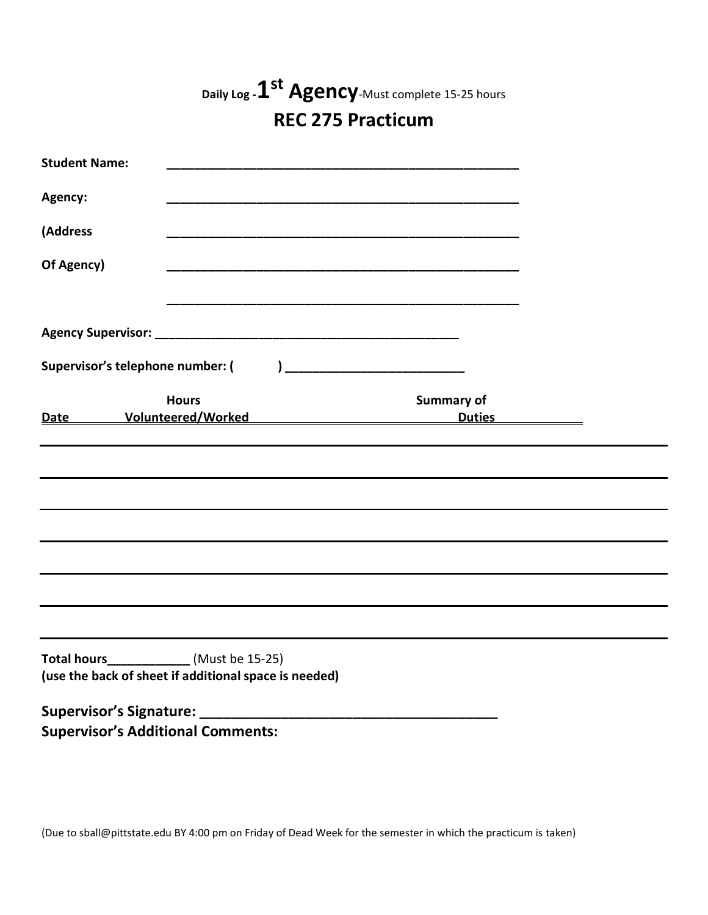|                                                                                                          |              | Daily Log - 1 <sup>st</sup> Agency-Must complete 15-25 hours                                                   |                   |  |
|----------------------------------------------------------------------------------------------------------|--------------|----------------------------------------------------------------------------------------------------------------|-------------------|--|
|                                                                                                          |              | <b>REC 275 Practicum</b>                                                                                       |                   |  |
| <b>Student Name:</b>                                                                                     |              |                                                                                                                |                   |  |
| Agency:                                                                                                  |              |                                                                                                                |                   |  |
| (Address                                                                                                 |              |                                                                                                                |                   |  |
| Of Agency)                                                                                               |              |                                                                                                                |                   |  |
|                                                                                                          |              |                                                                                                                |                   |  |
|                                                                                                          |              |                                                                                                                |                   |  |
| Supervisor's telephone number: (                                                                         |              |                                                                                                                |                   |  |
| Date                                                                                                     | <b>Hours</b> | Volunteered/Worked National Account of the United States and Account of the United States and Account of the U | <b>Summary of</b> |  |
|                                                                                                          |              |                                                                                                                |                   |  |
|                                                                                                          |              |                                                                                                                |                   |  |
|                                                                                                          |              |                                                                                                                |                   |  |
|                                                                                                          |              |                                                                                                                |                   |  |
|                                                                                                          |              |                                                                                                                |                   |  |
|                                                                                                          |              |                                                                                                                |                   |  |
|                                                                                                          |              |                                                                                                                |                   |  |
| <b>Total hours_____________</b> (Must be 15-25)<br>(use the back of sheet if additional space is needed) |              |                                                                                                                |                   |  |
| Supervisor's Signature: ____<br><b>Supervisor's Additional Comments:</b>                                 |              |                                                                                                                |                   |  |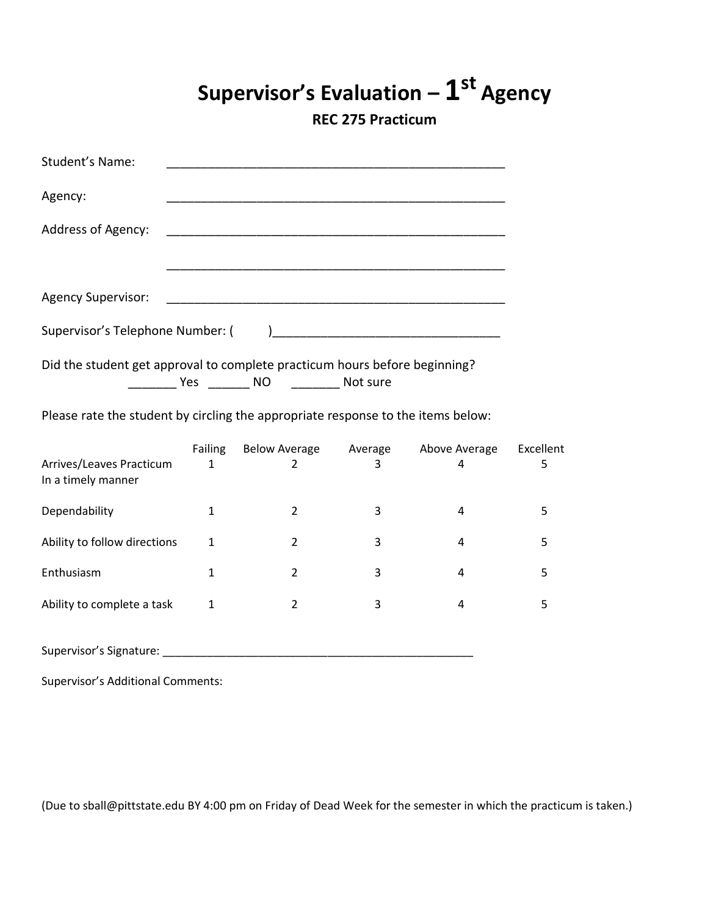# **Supervisor's Evaluation – 1 st Agency**

**REC 275 Practicum**

| Student's Name:                                                                  |                                |                                         |   |                    |                |
|----------------------------------------------------------------------------------|--------------------------------|-----------------------------------------|---|--------------------|----------------|
| Agency:                                                                          |                                |                                         |   |                    |                |
| Address of Agency:                                                               |                                |                                         |   |                    |                |
|                                                                                  |                                |                                         |   |                    |                |
| <b>Agency Supervisor:</b>                                                        |                                |                                         |   |                    |                |
| Supervisor's Telephone Number: (                                                 |                                |                                         |   |                    |                |
| Did the student get approval to complete practicum hours before beginning?       |                                |                                         |   |                    |                |
| Please rate the student by circling the appropriate response to the items below: |                                |                                         |   |                    |                |
| Arrives/Leaves Practicum<br>In a timely manner                                   | <b>Failing</b><br>$\mathbf{1}$ | Below Average Average<br>$\overline{2}$ | 3 | Above Average<br>4 | Excellent<br>5 |
| Dependability                                                                    | $\mathbf{1}$                   | $\overline{2}$                          | 3 | 4                  | 5              |
| Ability to follow directions                                                     | $\mathbf{1}$                   | $\overline{2}$                          | 3 | 4                  | 5              |
| Enthusiasm                                                                       | $\mathbf{1}$                   | $\overline{2}$                          | 3 | 4                  | 5              |
| Ability to complete a task                                                       | $\mathbf{1}$                   | $\overline{2}$                          | 3 | 4                  | 5              |
|                                                                                  |                                |                                         |   |                    |                |

Supervisor's Additional Comments: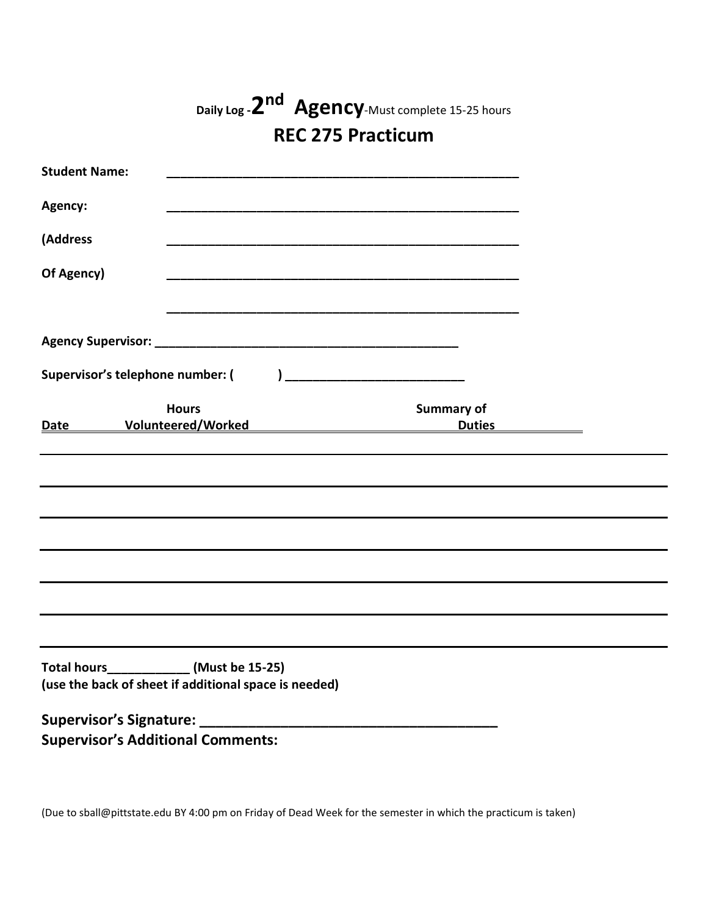|                                                                                                    |                                           | Daily Log - 2nd Agency-Must complete 15-25 hours |  |
|----------------------------------------------------------------------------------------------------|-------------------------------------------|--------------------------------------------------|--|
|                                                                                                    |                                           | <b>REC 275 Practicum</b>                         |  |
| <b>Student Name:</b>                                                                               |                                           |                                                  |  |
| Agency:                                                                                            |                                           |                                                  |  |
| (Address                                                                                           |                                           |                                                  |  |
| Of Agency)                                                                                         |                                           |                                                  |  |
|                                                                                                    |                                           |                                                  |  |
| Supervisor's telephone number: (                                                                   |                                           |                                                  |  |
| Date                                                                                               | <b>Hours</b><br><b>Volunteered/Worked</b> | <b>Summary of</b><br><b>Duties</b>               |  |
|                                                                                                    |                                           |                                                  |  |
|                                                                                                    |                                           |                                                  |  |
|                                                                                                    |                                           |                                                  |  |
|                                                                                                    |                                           |                                                  |  |
|                                                                                                    |                                           |                                                  |  |
|                                                                                                    |                                           |                                                  |  |
| Total hours______________ (Must be 15-25)<br>(use the back of sheet if additional space is needed) |                                           |                                                  |  |
|                                                                                                    |                                           |                                                  |  |
| <b>Supervisor's Additional Comments:</b>                                                           |                                           |                                                  |  |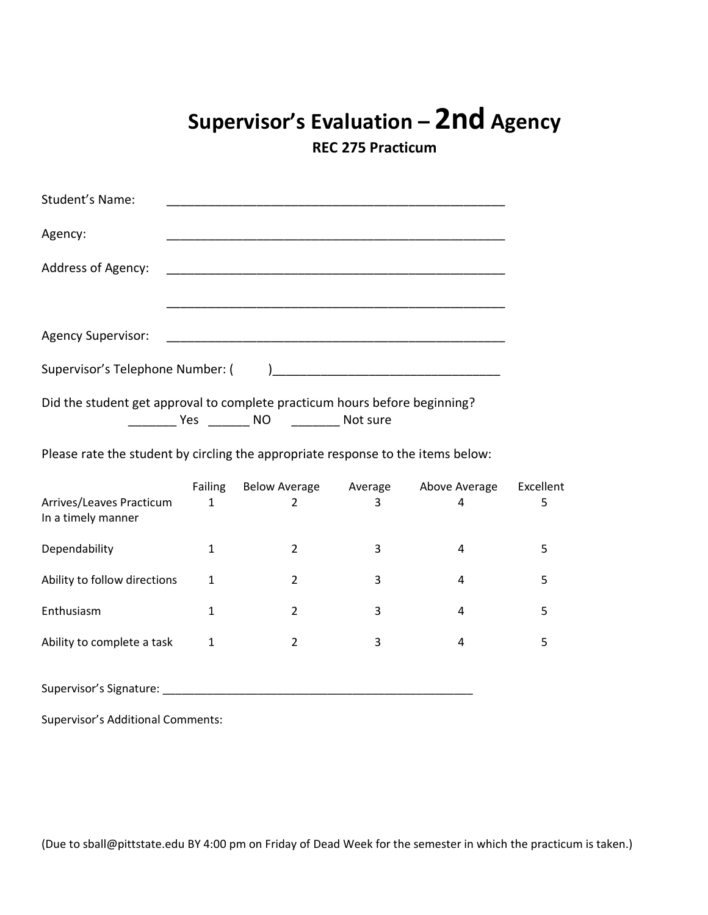## **Supervisor's Evaluation – 2nd Agency**

**REC 275 Practicum**

| Student's Name:                                                                  |                                |                                                                                                                                                                                                                                      |   |                    |                |
|----------------------------------------------------------------------------------|--------------------------------|--------------------------------------------------------------------------------------------------------------------------------------------------------------------------------------------------------------------------------------|---|--------------------|----------------|
| Agency:                                                                          |                                |                                                                                                                                                                                                                                      |   |                    |                |
| Address of Agency:                                                               |                                |                                                                                                                                                                                                                                      |   |                    |                |
| <b>Agency Supervisor:</b>                                                        |                                |                                                                                                                                                                                                                                      |   |                    |                |
| Supervisor's Telephone Number: (                                                 |                                |                                                                                                                                                                                                                                      |   |                    |                |
| Did the student get approval to complete practicum hours before beginning?       |                                | <b>The Second Second Second Second Second Second Second Second Second Second Second Second Second Second Second Second Second Second Second Second Second Second Second Second Second Second Second Second Second Second Second </b> |   |                    |                |
| Please rate the student by circling the appropriate response to the items below: |                                |                                                                                                                                                                                                                                      |   |                    |                |
| Arrives/Leaves Practicum<br>In a timely manner                                   | <b>Failing</b><br>$\mathbf{1}$ | Below Average Average<br>$\overline{2}$                                                                                                                                                                                              | 3 | Above Average<br>4 | Excellent<br>5 |
| Dependability                                                                    | $\mathbf{1}$                   | $\overline{2}$                                                                                                                                                                                                                       | 3 | 4                  | 5              |
| Ability to follow directions                                                     | $\mathbf{1}$                   | $\overline{2}$                                                                                                                                                                                                                       | 3 | 4                  | 5              |
| Enthusiasm                                                                       | $\mathbf{1}$                   | $\overline{2}$                                                                                                                                                                                                                       | 3 | 4                  | 5              |
| Ability to complete a task                                                       | $\mathbf{1}$                   | $\overline{2}$                                                                                                                                                                                                                       | 3 | 4                  | 5              |
| Supervisor's Signature:                                                          |                                |                                                                                                                                                                                                                                      |   |                    |                |

Supervisor's Additional Comments: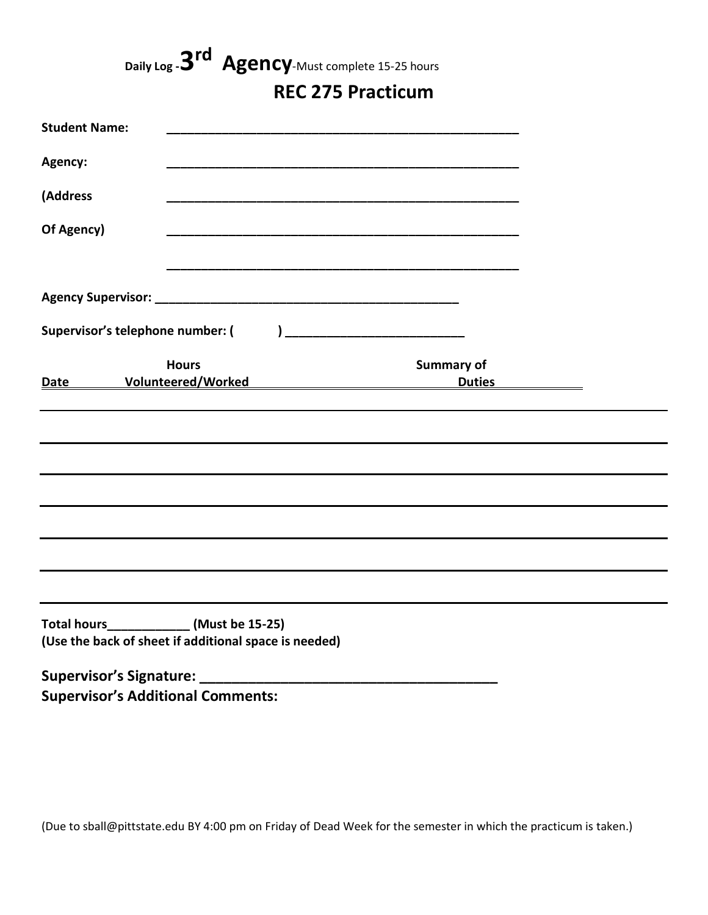**Daily Log -3 rd Agency**-Must complete 15-25 hours

### **REC 275 Practicum**

| <b>Student Name:</b>                       |                                                       |                                                |  |
|--------------------------------------------|-------------------------------------------------------|------------------------------------------------|--|
| Agency:                                    |                                                       |                                                |  |
| (Address                                   |                                                       |                                                |  |
| Of Agency)                                 |                                                       |                                                |  |
|                                            |                                                       |                                                |  |
|                                            |                                                       |                                                |  |
|                                            |                                                       |                                                |  |
| <b>Date</b>                                | <b>Hours</b>                                          | <b>Summary of</b><br>Volunteered/Worked Duties |  |
|                                            |                                                       |                                                |  |
|                                            |                                                       |                                                |  |
|                                            |                                                       |                                                |  |
|                                            |                                                       |                                                |  |
|                                            |                                                       |                                                |  |
|                                            |                                                       |                                                |  |
| Total hours_______________ (Must be 15-25) | (Use the back of sheet if additional space is needed) |                                                |  |
|                                            |                                                       |                                                |  |

**Supervisor's Additional Comments:**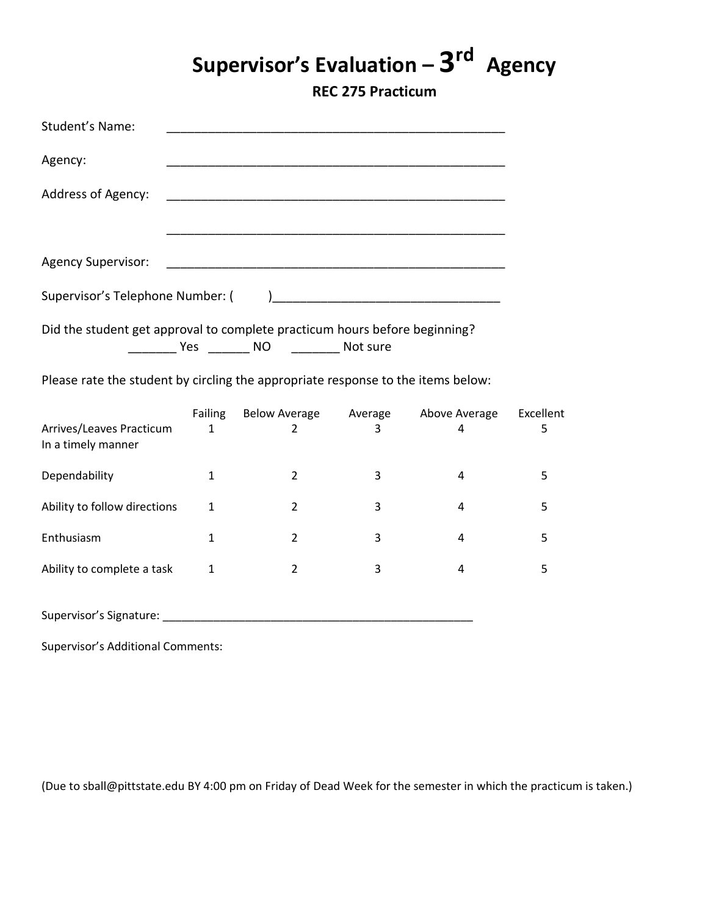# **Supervisor's Evaluation – 3 rd Agency**

**REC 275 Practicum**

| Student's Name:                                                            |
|----------------------------------------------------------------------------|
| Agency:                                                                    |
| Address of Agency:                                                         |
|                                                                            |
|                                                                            |
|                                                                            |
| Did the student get approval to complete practicum hours before beginning? |

\_\_\_\_\_\_\_ Yes \_\_\_\_\_\_ NO \_\_\_\_\_\_\_ Not sure

Please rate the student by circling the appropriate response to the items below:

|                                                | Failing | <b>Below Average</b> | Average | Above Average | Excellent |
|------------------------------------------------|---------|----------------------|---------|---------------|-----------|
| Arrives/Leaves Practicum<br>In a timely manner | 1       |                      | 3       | 4             | 5         |
| Dependability                                  | 1       | 2                    | 3       |               |           |
| Ability to follow directions                   | 1       | 2                    | 3       | 4             | כ         |
| Enthusiasm                                     | 1       | 2                    | 3       | 4             | 5         |
| Ability to complete a task                     | 1       | 2                    | 3       | 4             | 5         |
|                                                |         |                      |         |               |           |

Supervisor's Signature: \_\_\_\_\_\_\_\_\_\_\_\_\_\_\_\_\_\_\_\_\_\_\_\_\_\_\_\_\_\_\_\_\_\_\_\_\_\_\_\_\_\_\_\_\_\_\_\_\_

Supervisor's Additional Comments: